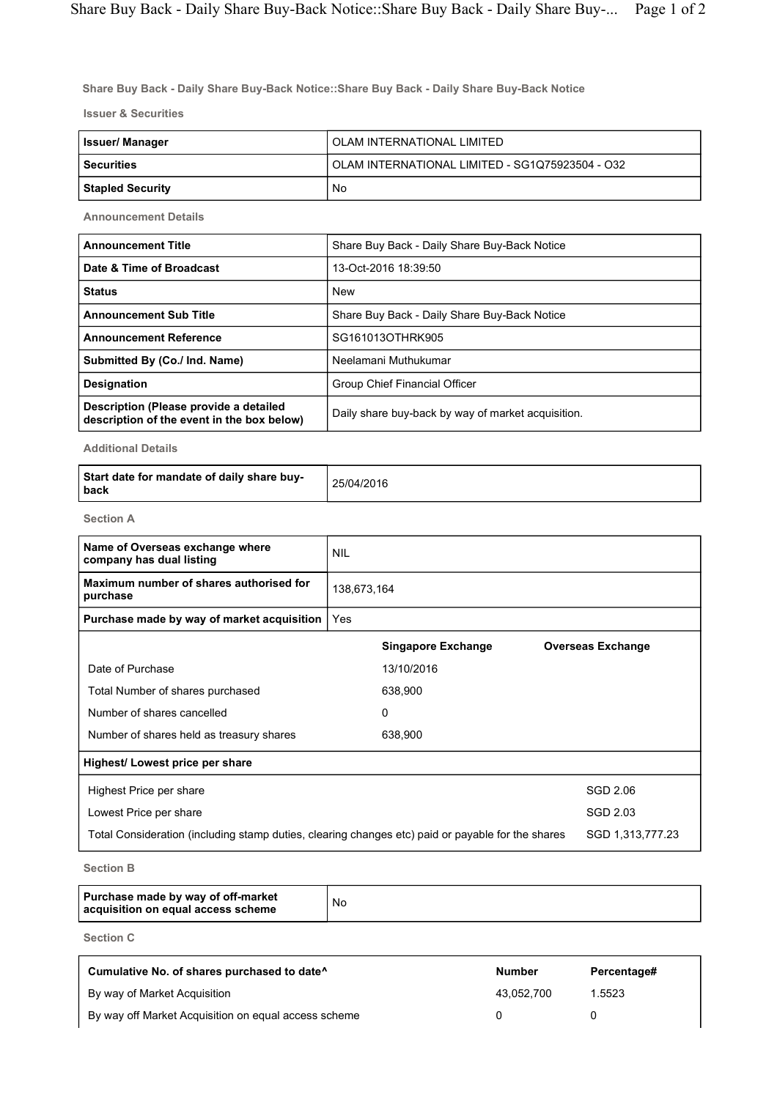Share Buy Back - Daily Share Buy-Back Notice::Share Buy Back - Daily Share Buy-Back Notice

Issuer & Securities

| Issuer/ Manager         | OLAM INTERNATIONAL LIMITED                      |  |  |  |
|-------------------------|-------------------------------------------------|--|--|--|
| <b>Securities</b>       | OLAM INTERNATIONAL LIMITED - SG1Q75923504 - O32 |  |  |  |
| <b>Stapled Security</b> | No                                              |  |  |  |

Announcement Details

| <b>Announcement Title</b>                                                            | Share Buy Back - Daily Share Buy-Back Notice       |  |  |
|--------------------------------------------------------------------------------------|----------------------------------------------------|--|--|
| Date & Time of Broadcast                                                             | 13-Oct-2016 18:39:50                               |  |  |
| <b>Status</b>                                                                        | <b>New</b>                                         |  |  |
| <b>Announcement Sub Title</b>                                                        | Share Buy Back - Daily Share Buy-Back Notice       |  |  |
| <b>Announcement Reference</b>                                                        | SG161013OTHRK905                                   |  |  |
| Submitted By (Co./ Ind. Name)                                                        | Neelamani Muthukumar                               |  |  |
| <b>Designation</b>                                                                   | Group Chief Financial Officer                      |  |  |
| Description (Please provide a detailed<br>description of the event in the box below) | Daily share buy-back by way of market acquisition. |  |  |

Additional Details

| Start date for mandate of daily share buy-<br>l back | 25/04/2016 |
|------------------------------------------------------|------------|
|------------------------------------------------------|------------|

Section A

| <b>NIL</b>                                                                                        |                           |                          |  |
|---------------------------------------------------------------------------------------------------|---------------------------|--------------------------|--|
| 138,673,164                                                                                       |                           |                          |  |
| Yes                                                                                               |                           |                          |  |
|                                                                                                   | <b>Singapore Exchange</b> | <b>Overseas Exchange</b> |  |
|                                                                                                   | 13/10/2016                |                          |  |
|                                                                                                   | 638,900                   |                          |  |
|                                                                                                   | 0                         |                          |  |
|                                                                                                   | 638,900                   |                          |  |
|                                                                                                   |                           |                          |  |
|                                                                                                   |                           | SGD 2.06                 |  |
|                                                                                                   |                           | SGD 2.03                 |  |
| Total Consideration (including stamp duties, clearing changes etc) paid or payable for the shares |                           |                          |  |
|                                                                                                   |                           |                          |  |

Section B

| Purchase made by way of off-market<br>acquisition on equal access scheme | No |
|--------------------------------------------------------------------------|----|
|--------------------------------------------------------------------------|----|

Section C

| Cumulative No. of shares purchased to date <sup>^</sup> | <b>Number</b> | Percentage# |
|---------------------------------------------------------|---------------|-------------|
| By way of Market Acquisition                            | 43.052.700    | 1.5523      |
| By way off Market Acquisition on equal access scheme    |               |             |

٦